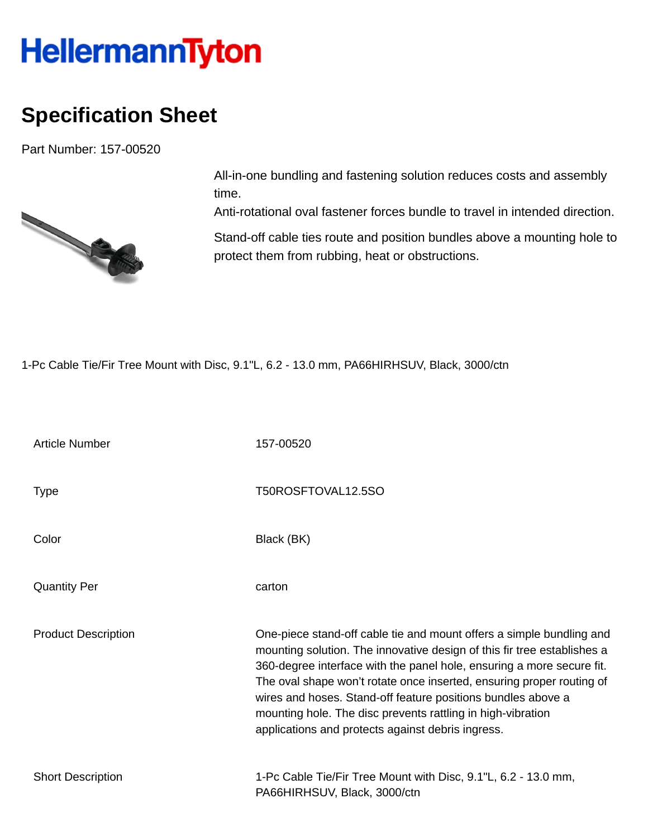## **HellermannTyton**

## **Specification Sheet**

Part Number: 157-00520



All-in-one bundling and fastening solution reduces costs and assembly time.

Anti-rotational oval fastener forces bundle to travel in intended direction.

Stand-off cable ties route and position bundles above a mounting hole to protect them from rubbing, heat or obstructions.

1-Pc Cable Tie/Fir Tree Mount with Disc, 9.1"L, 6.2 - 13.0 mm, PA66HIRHSUV, Black, 3000/ctn

| <b>Article Number</b>      | 157-00520                                                                                                                                                                                                                                                                                                                                                                                                                                                                             |
|----------------------------|---------------------------------------------------------------------------------------------------------------------------------------------------------------------------------------------------------------------------------------------------------------------------------------------------------------------------------------------------------------------------------------------------------------------------------------------------------------------------------------|
| <b>Type</b>                | T50ROSFTOVAL12.5SO                                                                                                                                                                                                                                                                                                                                                                                                                                                                    |
| Color                      | Black (BK)                                                                                                                                                                                                                                                                                                                                                                                                                                                                            |
| <b>Quantity Per</b>        | carton                                                                                                                                                                                                                                                                                                                                                                                                                                                                                |
| <b>Product Description</b> | One-piece stand-off cable tie and mount offers a simple bundling and<br>mounting solution. The innovative design of this fir tree establishes a<br>360-degree interface with the panel hole, ensuring a more secure fit.<br>The oval shape won't rotate once inserted, ensuring proper routing of<br>wires and hoses. Stand-off feature positions bundles above a<br>mounting hole. The disc prevents rattling in high-vibration<br>applications and protects against debris ingress. |
| <b>Short Description</b>   | 1-Pc Cable Tie/Fir Tree Mount with Disc, 9.1"L, 6.2 - 13.0 mm,<br>PA66HIRHSUV, Black, 3000/ctn                                                                                                                                                                                                                                                                                                                                                                                        |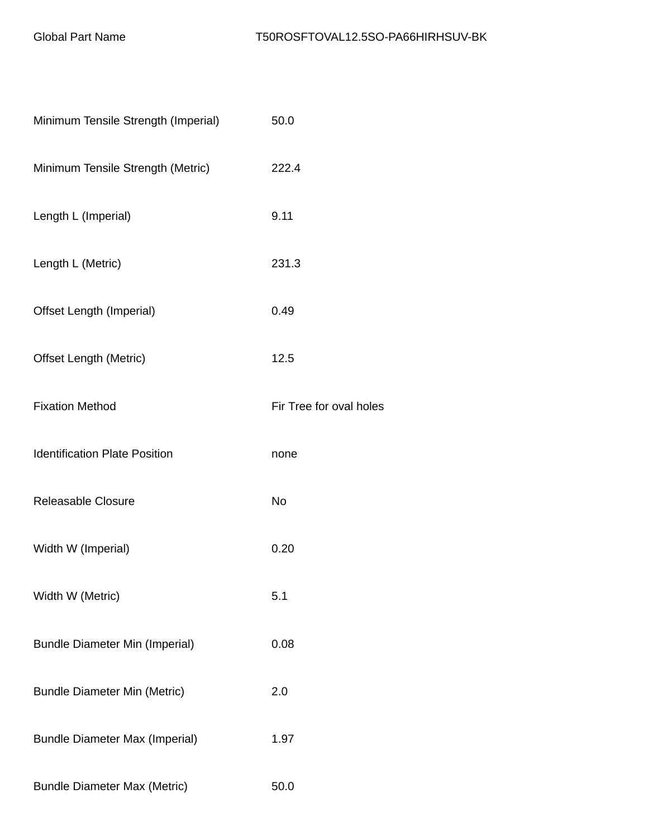| Minimum Tensile Strength (Imperial)   | 50.0                    |
|---------------------------------------|-------------------------|
| Minimum Tensile Strength (Metric)     | 222.4                   |
| Length L (Imperial)                   | 9.11                    |
| Length L (Metric)                     | 231.3                   |
| Offset Length (Imperial)              | 0.49                    |
| <b>Offset Length (Metric)</b>         | 12.5                    |
| <b>Fixation Method</b>                | Fir Tree for oval holes |
| <b>Identification Plate Position</b>  | none                    |
| <b>Releasable Closure</b>             | <b>No</b>               |
| Width W (Imperial)                    | 0.20                    |
| Width W (Metric)                      | 5.1                     |
| <b>Bundle Diameter Min (Imperial)</b> | 0.08                    |
| <b>Bundle Diameter Min (Metric)</b>   | 2.0                     |
| <b>Bundle Diameter Max (Imperial)</b> | 1.97                    |
| <b>Bundle Diameter Max (Metric)</b>   | 50.0                    |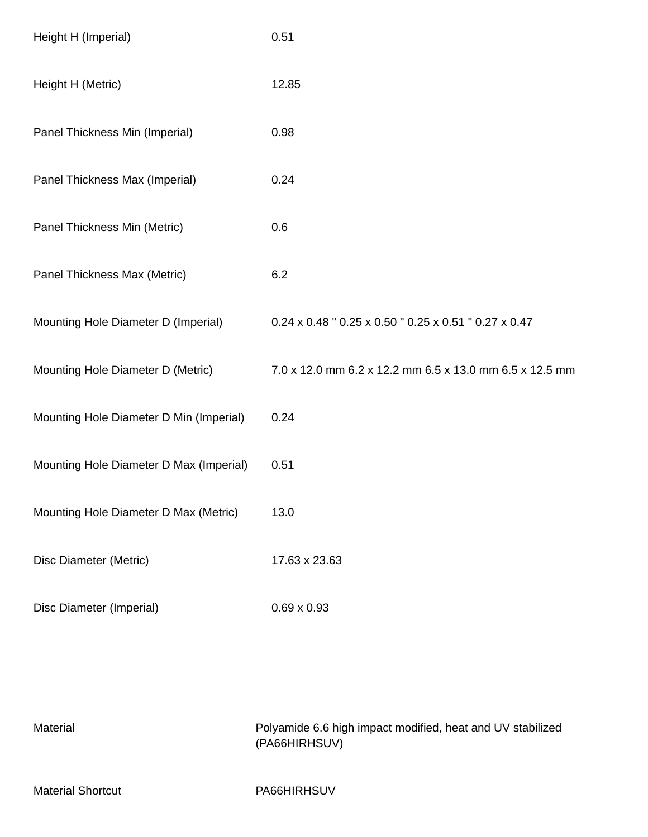| Height H (Imperial)                     | 0.51                                                    |
|-----------------------------------------|---------------------------------------------------------|
| Height H (Metric)                       | 12.85                                                   |
| Panel Thickness Min (Imperial)          | 0.98                                                    |
| Panel Thickness Max (Imperial)          | 0.24                                                    |
| Panel Thickness Min (Metric)            | 0.6                                                     |
| Panel Thickness Max (Metric)            | 6.2                                                     |
| Mounting Hole Diameter D (Imperial)     | 0.24 x 0.48 " 0.25 x 0.50 " 0.25 x 0.51 " 0.27 x 0.47   |
| Mounting Hole Diameter D (Metric)       | 7.0 x 12.0 mm 6.2 x 12.2 mm 6.5 x 13.0 mm 6.5 x 12.5 mm |
| Mounting Hole Diameter D Min (Imperial) | 0.24                                                    |
| Mounting Hole Diameter D Max (Imperial) | 0.51                                                    |
| Mounting Hole Diameter D Max (Metric)   | 13.0                                                    |
| Disc Diameter (Metric)                  | 17.63 x 23.63                                           |
| Disc Diameter (Imperial)                | $0.69 \times 0.93$                                      |

| Material                 | Polyamide 6.6 high impact modified, heat and UV stabilized<br>(PA66HIRHSUV) |
|--------------------------|-----------------------------------------------------------------------------|
| <b>Material Shortcut</b> | PA66HIRHSUV                                                                 |